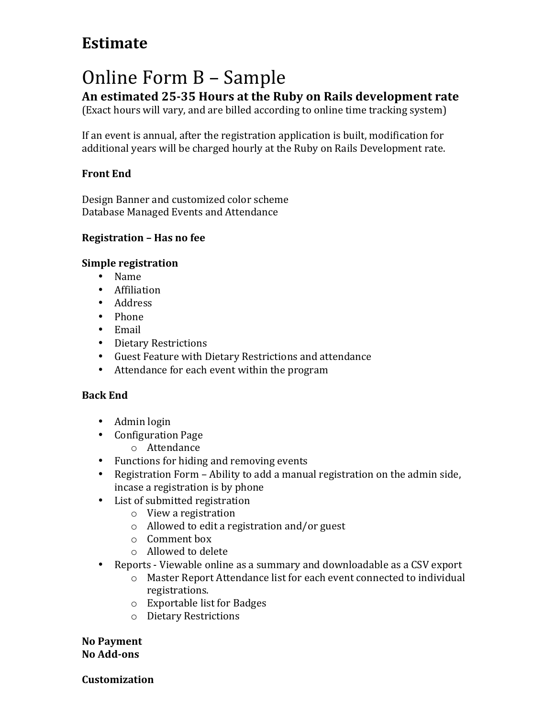## **Estimate**

# Online Form B - Sample

An estimated 25-35 Hours at the Ruby on Rails development rate

(Exact hours will vary, and are billed according to online time tracking system)

If an event is annual, after the registration application is built, modification for additional years will be charged hourly at the Ruby on Rails Development rate.

### **Front End**

Design Banner and customized color scheme Database Managed Events and Attendance

#### **Registration - Has no fee**

#### **Simple registration**

- Name
- Affiliation
- Address
- Phone
- Email
- Dietary Restrictions
- Guest Feature with Dietary Restrictions and attendance
- Attendance for each event within the program

#### **Back End**

- Admin login
- Configuration Page
	- o Attendance
- Functions for hiding and removing events
- Registration Form Ability to add a manual registration on the admin side, incase a registration is by phone
- List of submitted registration
	- $\circ$  View a registration
	- $\circ$  Allowed to edit a registration and/or guest
	- $\circ$  Comment box
	- $\circ$  Allowed to delete
- Reports Viewable online as a summary and downloadable as a CSV export
	- o Master Report Attendance list for each event connected to individual registrations.
	- $\circ$  Exportable list for Badges
	- o Dietary Restrictions

**No Payment No Add-ons**

**Customization**